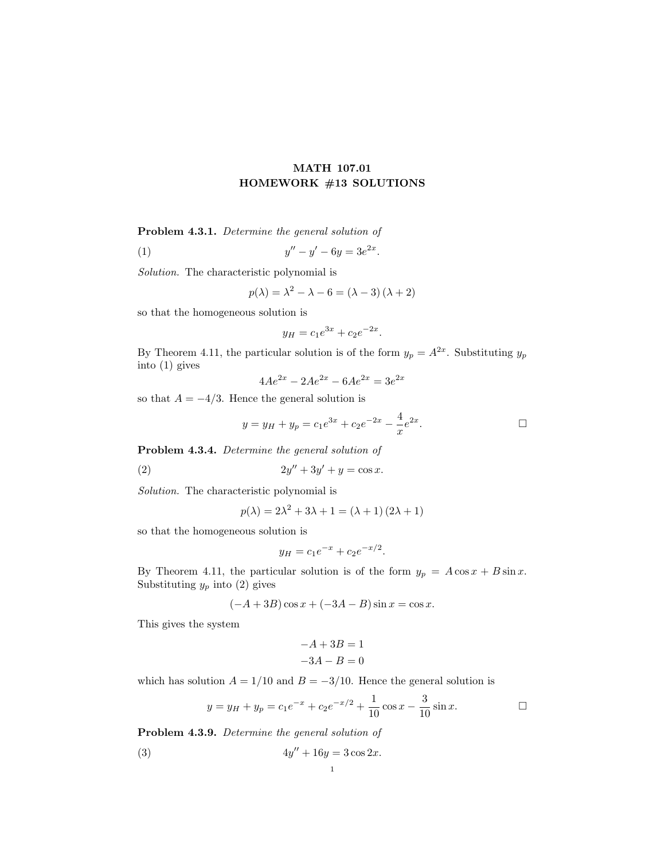## MATH 107.01 HOMEWORK #13 SOLUTIONS

Problem 4.3.1. Determine the general solution of

(1) 
$$
y'' - y' - 6y = 3e^{2x}.
$$

Solution. The characteristic polynomial is

$$
p(\lambda) = \lambda^2 - \lambda - 6 = (\lambda - 3)(\lambda + 2)
$$

so that the homogeneous solution is

$$
y_H = c_1 e^{3x} + c_2 e^{-2x}.
$$

By Theorem 4.11, the particular solution is of the form  $y_p = A^{2x}$ . Substituting  $y_p$ into (1) gives

$$
4Ae^{2x} - 2Ae^{2x} - 6Ae^{2x} = 3e^{2x}
$$

so that  $A = -4/3$ . Hence the general solution is

$$
y = y_H + y_p = c_1 e^{3x} + c_2 e^{-2x} - \frac{4}{x} e^{2x}.
$$

Problem 4.3.4. Determine the general solution of

(2) 
$$
2y'' + 3y' + y = \cos x.
$$

Solution. The characteristic polynomial is

$$
p(\lambda) = 2\lambda^2 + 3\lambda + 1 = (\lambda + 1)(2\lambda + 1)
$$

so that the homogeneous solution is

$$
y_H = c_1 e^{-x} + c_2 e^{-x/2}.
$$

By Theorem 4.11, the particular solution is of the form  $y_p = A \cos x + B \sin x$ . Substituting  $y_p$  into (2) gives

$$
(-A+3B)\cos x + (-3A - B)\sin x = \cos x.
$$

This gives the system

$$
-A + 3B = 1
$$

$$
-3A - B = 0
$$

which has solution  $A = 1/10$  and  $B = -3/10$ . Hence the general solution is

$$
y = y_H + y_p = c_1 e^{-x} + c_2 e^{-x/2} + \frac{1}{10} \cos x - \frac{3}{10} \sin x.
$$

Problem 4.3.9. Determine the general solution of

(3) 
$$
4y'' + 16y = 3\cos 2x.
$$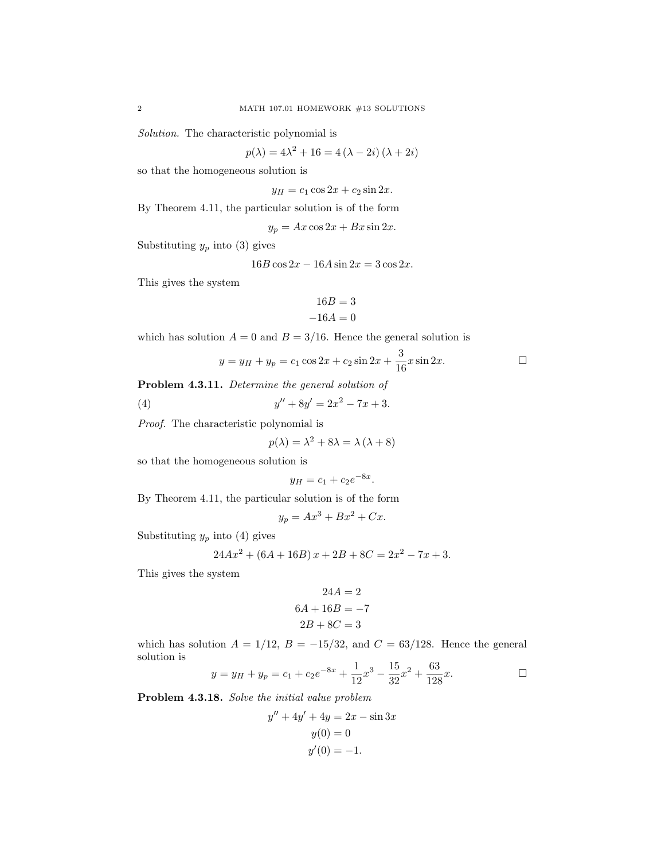Solution. The characteristic polynomial is

$$
p(\lambda) = 4\lambda^2 + 16 = 4(\lambda - 2i)(\lambda + 2i)
$$

so that the homogeneous solution is

 $y_H = c_1 \cos 2x + c_2 \sin 2x.$ 

By Theorem 4.11, the particular solution is of the form

 $y_p = Ax \cos 2x + Bx \sin 2x.$ 

Substituting  $y_p$  into (3) gives

 $16B\cos 2x - 16A\sin 2x = 3\cos 2x$ .

This gives the system

$$
16B = 3
$$

$$
-16A = 0
$$

which has solution  $A = 0$  and  $B = 3/16$ . Hence the general solution is

$$
y = y_H + y_p = c_1 \cos 2x + c_2 \sin 2x + \frac{3}{16} x \sin 2x.
$$

Problem 4.3.11. Determine the general solution of

(4) 
$$
y'' + 8y' = 2x^2 - 7x + 3.
$$

Proof. The characteristic polynomial is

$$
p(\lambda) = \lambda^2 + 8\lambda = \lambda(\lambda + 8)
$$

so that the homogeneous solution is

$$
y_H = c_1 + c_2 e^{-8x}.
$$

By Theorem 4.11, the particular solution is of the form

$$
y_p = Ax^3 + Bx^2 + Cx.
$$

Substituting  $y_p$  into (4) gives

$$
24Ax^{2} + (6A + 16B)x + 2B + 8C = 2x^{2} - 7x + 3.
$$

This gives the system

$$
24A = 2
$$

$$
6A + 16B = -7
$$

$$
2B + 8C = 3
$$

which has solution  $A = 1/12$ ,  $B = -15/32$ , and  $C = 63/128$ . Hence the general solution is

$$
y = y_H + y_p = c_1 + c_2 e^{-8x} + \frac{1}{12}x^3 - \frac{15}{32}x^2 + \frac{63}{128}x.
$$

Problem 4.3.18. Solve the initial value problem

$$
y'' + 4y' + 4y = 2x - \sin 3x
$$

$$
y(0) = 0
$$

$$
y'(0) = -1.
$$